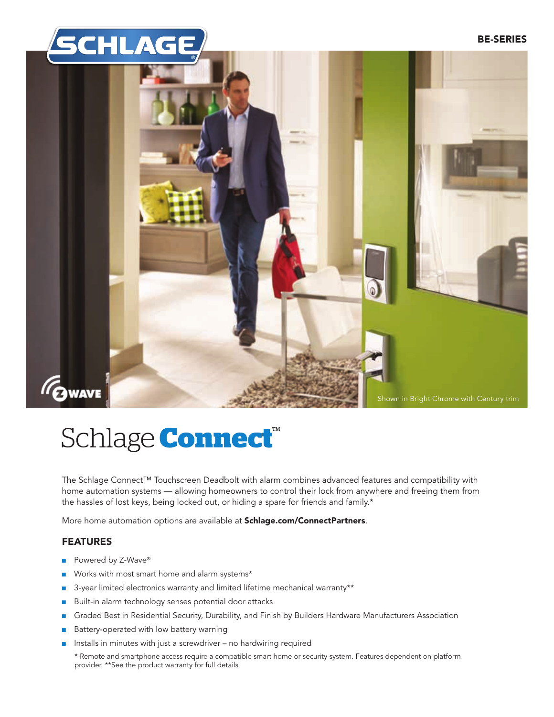



# Schlage **Connect**<sup>®</sup>

The Schlage Connect™ Touchscreen Deadbolt with alarm combines advanced features and compatibility with home automation systems — allowing homeowners to control their lock from anywhere and freeing them from the hassles of lost keys, being locked out, or hiding a spare for friends and family.\*

More home automation options are available at Schlage.com/ConnectPartners.

# FEATURES

- Powered by Z-Wave<sup>®</sup>
- Works with most smart home and alarm systems\*
- 3-year limited electronics warranty and limited lifetime mechanical warranty\*\*
- Built-in alarm technology senses potential door attacks
- Graded Best in Residential Security, Durability, and Finish by Builders Hardware Manufacturers Association
- Battery-operated with low battery warning
- Installs in minutes with just a screwdriver no hardwiring required
	- \* Remote and smartphone access require a compatible smart home or security system. Features dependent on platform provider. \*\*See the product warranty for full details